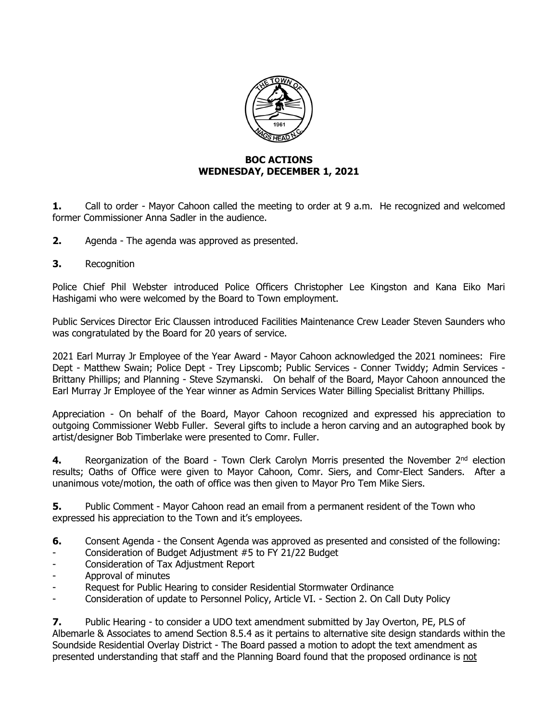

## **BOC ACTIONS WEDNESDAY, DECEMBER 1, 2021**

**1.** Call to order - Mayor Cahoon called the meeting to order at 9 a.m. He recognized and welcomed former Commissioner Anna Sadler in the audience.

- **2.** Agenda The agenda was approved as presented.
- **3.** Recognition

Police Chief Phil Webster introduced Police Officers Christopher Lee Kingston and Kana Eiko Mari Hashigami who were welcomed by the Board to Town employment.

Public Services Director Eric Claussen introduced Facilities Maintenance Crew Leader Steven Saunders who was congratulated by the Board for 20 years of service.

2021 Earl Murray Jr Employee of the Year Award - Mayor Cahoon acknowledged the 2021 nominees: Fire Dept - Matthew Swain; Police Dept - Trey Lipscomb; Public Services - Conner Twiddy; Admin Services - Brittany Phillips; and Planning - Steve Szymanski. On behalf of the Board, Mayor Cahoon announced the Earl Murray Jr Employee of the Year winner as Admin Services Water Billing Specialist Brittany Phillips.

Appreciation - On behalf of the Board, Mayor Cahoon recognized and expressed his appreciation to outgoing Commissioner Webb Fuller. Several gifts to include a heron carving and an autographed book by artist/designer Bob Timberlake were presented to Comr. Fuller.

**4.** Reorganization of the Board - Town Clerk Carolyn Morris presented the November 2<sup>nd</sup> election results; Oaths of Office were given to Mayor Cahoon, Comr. Siers, and Comr-Elect Sanders. After a unanimous vote/motion, the oath of office was then given to Mayor Pro Tem Mike Siers.

**5.** Public Comment - Mayor Cahoon read an email from a permanent resident of the Town who expressed his appreciation to the Town and it's employees.

- **6.** Consent Agenda the Consent Agenda was approved as presented and consisted of the following:
- Consideration of Budget Adjustment #5 to FY 21/22 Budget
- Consideration of Tax Adjustment Report
- Approval of minutes
- Request for Public Hearing to consider Residential Stormwater Ordinance
- Consideration of update to Personnel Policy, Article VI. Section 2. On Call Duty Policy

**7.** Public Hearing - to consider a UDO text amendment submitted by Jay Overton, PE, PLS of Albemarle & Associates to amend Section 8.5.4 as it pertains to alternative site design standards within the Soundside Residential Overlay District - The Board passed a motion to adopt the text amendment as presented understanding that staff and the Planning Board found that the proposed ordinance is not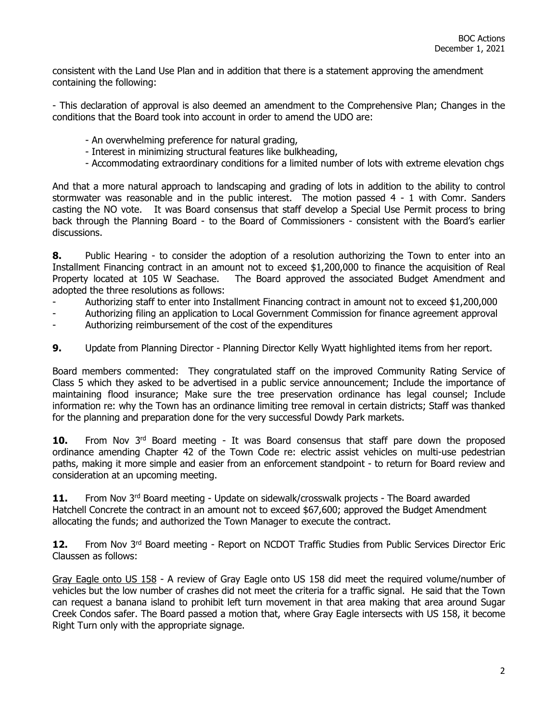consistent with the Land Use Plan and in addition that there is a statement approving the amendment containing the following:

- This declaration of approval is also deemed an amendment to the Comprehensive Plan; Changes in the conditions that the Board took into account in order to amend the UDO are:

- An overwhelming preference for natural grading,
- Interest in minimizing structural features like bulkheading,
- Accommodating extraordinary conditions for a limited number of lots with extreme elevation chgs

And that a more natural approach to landscaping and grading of lots in addition to the ability to control stormwater was reasonable and in the public interest. The motion passed 4 - 1 with Comr. Sanders casting the NO vote. It was Board consensus that staff develop a Special Use Permit process to bring back through the Planning Board - to the Board of Commissioners - consistent with the Board's earlier discussions.

**8.** Public Hearing - to consider the adoption of a resolution authorizing the Town to enter into an Installment Financing contract in an amount not to exceed \$1,200,000 to finance the acquisition of Real Property located at 105 W Seachase. The Board approved the associated Budget Amendment and adopted the three resolutions as follows:

- Authorizing staff to enter into Installment Financing contract in amount not to exceed \$1,200,000
- Authorizing filing an application to Local Government Commission for finance agreement approval
- Authorizing reimbursement of the cost of the expenditures
- **9.** Update from Planning Director Planning Director Kelly Wyatt highlighted items from her report.

Board members commented: They congratulated staff on the improved Community Rating Service of Class 5 which they asked to be advertised in a public service announcement; Include the importance of maintaining flood insurance; Make sure the tree preservation ordinance has legal counsel; Include information re: why the Town has an ordinance limiting tree removal in certain districts; Staff was thanked for the planning and preparation done for the very successful Dowdy Park markets.

**10.** From Nov 3<sup>rd</sup> Board meeting - It was Board consensus that staff pare down the proposed ordinance amending Chapter 42 of the Town Code re: electric assist vehicles on multi-use pedestrian paths, making it more simple and easier from an enforcement standpoint - to return for Board review and consideration at an upcoming meeting.

**11.** From Nov 3<sup>rd</sup> Board meeting - Update on sidewalk/crosswalk projects - The Board awarded Hatchell Concrete the contract in an amount not to exceed \$67,600; approved the Budget Amendment allocating the funds; and authorized the Town Manager to execute the contract.

**12.** From Nov 3rd Board meeting - Report on NCDOT Traffic Studies from Public Services Director Eric Claussen as follows:

Gray Eagle onto US 158 - A review of Gray Eagle onto US 158 did meet the required volume/number of vehicles but the low number of crashes did not meet the criteria for a traffic signal. He said that the Town can request a banana island to prohibit left turn movement in that area making that area around Sugar Creek Condos safer. The Board passed a motion that, where Gray Eagle intersects with US 158, it become Right Turn only with the appropriate signage.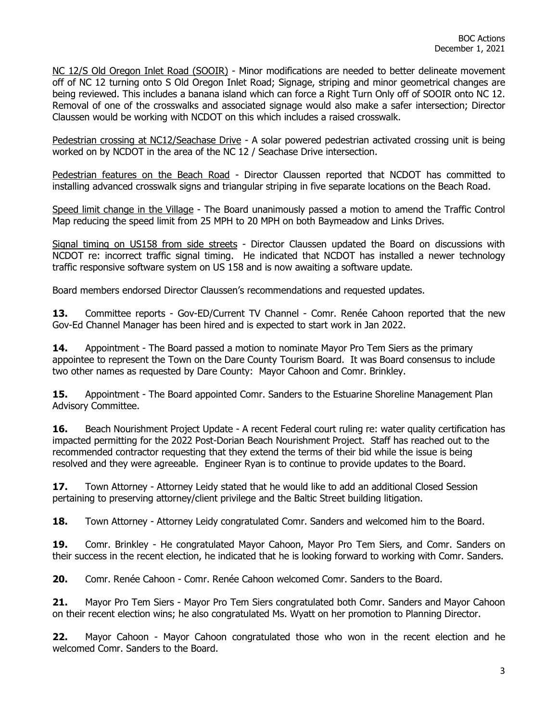NC 12/S Old Oregon Inlet Road (SOOIR) - Minor modifications are needed to better delineate movement off of NC 12 turning onto S Old Oregon Inlet Road; Signage, striping and minor geometrical changes are being reviewed. This includes a banana island which can force a Right Turn Only off of SOOIR onto NC 12. Removal of one of the crosswalks and associated signage would also make a safer intersection; Director Claussen would be working with NCDOT on this which includes a raised crosswalk.

Pedestrian crossing at NC12/Seachase Drive - A solar powered pedestrian activated crossing unit is being worked on by NCDOT in the area of the NC 12 / Seachase Drive intersection.

Pedestrian features on the Beach Road - Director Claussen reported that NCDOT has committed to installing advanced crosswalk signs and triangular striping in five separate locations on the Beach Road.

Speed limit change in the Village - The Board unanimously passed a motion to amend the Traffic Control Map reducing the speed limit from 25 MPH to 20 MPH on both Baymeadow and Links Drives.

Signal timing on US158 from side streets - Director Claussen updated the Board on discussions with NCDOT re: incorrect traffic signal timing. He indicated that NCDOT has installed a newer technology traffic responsive software system on US 158 and is now awaiting a software update.

Board members endorsed Director Claussen's recommendations and requested updates.

**13.** Committee reports - Gov-ED/Current TV Channel - Comr. Renée Cahoon reported that the new Gov-Ed Channel Manager has been hired and is expected to start work in Jan 2022.

**14.** Appointment - The Board passed a motion to nominate Mayor Pro Tem Siers as the primary appointee to represent the Town on the Dare County Tourism Board. It was Board consensus to include two other names as requested by Dare County: Mayor Cahoon and Comr. Brinkley.

**15.** Appointment - The Board appointed Comr. Sanders to the Estuarine Shoreline Management Plan Advisory Committee.

**16.** Beach Nourishment Project Update - A recent Federal court ruling re: water quality certification has impacted permitting for the 2022 Post-Dorian Beach Nourishment Project. Staff has reached out to the recommended contractor requesting that they extend the terms of their bid while the issue is being resolved and they were agreeable. Engineer Ryan is to continue to provide updates to the Board.

**17.** Town Attorney - Attorney Leidy stated that he would like to add an additional Closed Session pertaining to preserving attorney/client privilege and the Baltic Street building litigation.

**18.** Town Attorney - Attorney Leidy congratulated Comr. Sanders and welcomed him to the Board.

**19.** Comr. Brinkley - He congratulated Mayor Cahoon, Mayor Pro Tem Siers, and Comr. Sanders on their success in the recent election, he indicated that he is looking forward to working with Comr. Sanders.

**20.** Comr. Renée Cahoon - Comr. Renée Cahoon welcomed Comr. Sanders to the Board.

**21.** Mayor Pro Tem Siers - Mayor Pro Tem Siers congratulated both Comr. Sanders and Mayor Cahoon on their recent election wins; he also congratulated Ms. Wyatt on her promotion to Planning Director.

**22.** Mayor Cahoon - Mayor Cahoon congratulated those who won in the recent election and he welcomed Comr. Sanders to the Board.